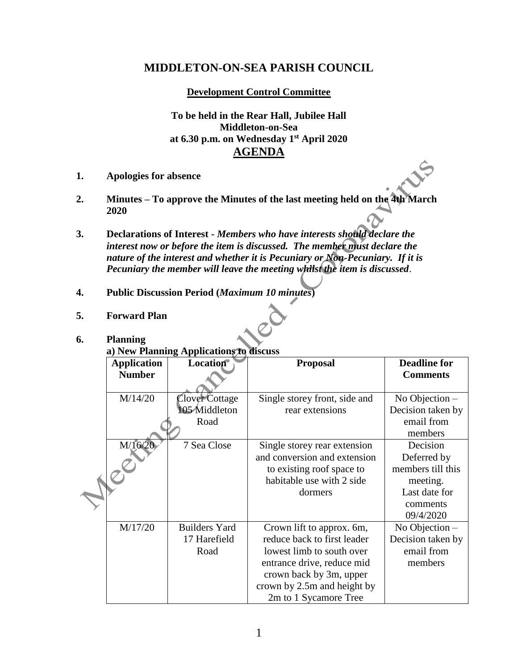# **MIDDLETON-ON-SEA PARISH COUNCIL**

**Development Control Committee**

**To be held in the Rear Hall, Jubilee Hall Middleton-on-Sea at 6.30 p.m. on Wednesday 1 st April 2020 AGENDA**

- **1. Apologies for absence**
- **2. Minutes – To approve the Minutes of the last meeting held on the 4th March 2020**
- **3. Declarations of Interest -** *Members who have interests should declare the interest now or before the item is discussed. The member must declare the nature of the interest and whether it is Pecuniary or Non-Pecuniary. If it is Pecuniary the member will leave the meeting whilst the item is discussed*.
- **4. Public Discussion Period (***Maximum 10 minutes***)**
- **5. Forward Plan**

### **6. Planning**

**a) New Planning Applications to discuss**

| <b>Application</b> | <b>Location</b>      | <b>Proposal</b>               | <b>Deadline for</b> |
|--------------------|----------------------|-------------------------------|---------------------|
| <b>Number</b>      |                      |                               | <b>Comments</b>     |
|                    |                      |                               |                     |
| M/14/20            | Clover Cottage       | Single storey front, side and | No Objection $-$    |
|                    | 105 Middleton        | rear extensions               | Decision taken by   |
|                    | Road                 |                               | email from          |
|                    |                      |                               | members             |
| M/16/20            | 7 Sea Close          | Single storey rear extension  | Decision            |
|                    |                      | and conversion and extension  | Deferred by         |
|                    |                      | to existing roof space to     | members till this   |
|                    |                      | habitable use with 2 side     | meeting.            |
|                    |                      | dormers                       | Last date for       |
|                    |                      |                               | comments            |
|                    |                      |                               | 09/4/2020           |
| M/17/20            | <b>Builders Yard</b> | Crown lift to approx. 6m,     | No Objection $-$    |
|                    | 17 Harefield         | reduce back to first leader   | Decision taken by   |
|                    | Road                 | lowest limb to south over     | email from          |
|                    |                      | entrance drive, reduce mid    | members             |
|                    |                      | crown back by 3m, upper       |                     |
|                    |                      | crown by 2.5m and height by   |                     |
|                    |                      | 2m to 1 Sycamore Tree         |                     |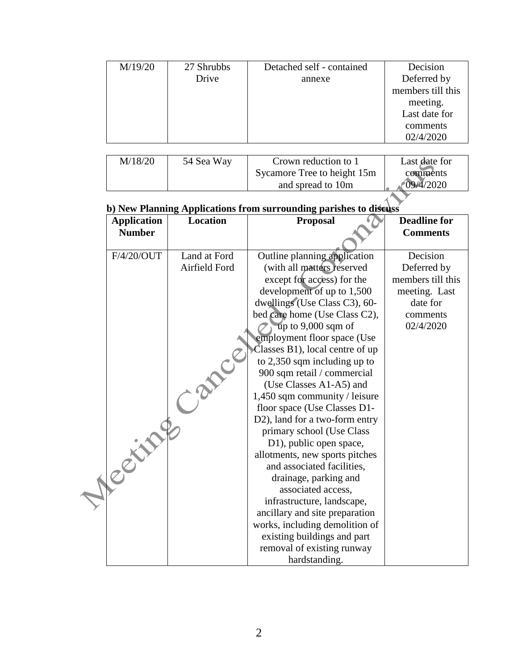| M/19/20 | 27 Shrubbs | Detached self - contained | Decision          |
|---------|------------|---------------------------|-------------------|
|         | Drive      | annexe                    | Deferred by       |
|         |            |                           | members till this |
|         |            |                           | meeting.          |
|         |            |                           | Last date for     |
|         |            |                           | comments          |
|         |            |                           | 02/4/2020         |

| M/18/20 | 54 Sea Way | Crown reduction to 1        | Last date for |
|---------|------------|-----------------------------|---------------|
|         |            | Sycamore Tree to height 15m | comments      |
|         |            | and spread to 10m           | 09/4/2020     |

# **b) New Planning Applications from surrounding parishes to discuss**

| <b>Application</b> | <b>Location</b> | <b>Proposal</b>                                               | <b>Deadline for</b> |
|--------------------|-----------------|---------------------------------------------------------------|---------------------|
| <b>Number</b>      |                 |                                                               | <b>Comments</b>     |
| F/4/20/OUT         | Land at Ford    | Outline planning application                                  | Decision            |
|                    | Airfield Ford   | (with all matters reserved                                    | Deferred by         |
|                    |                 | except for access) for the                                    | members till this   |
|                    |                 | development of up to 1,500                                    | meeting. Last       |
|                    |                 | dwellings (Use Class C3), 60-                                 | date for            |
|                    |                 | bed care home (Use Class C2),                                 | comments            |
|                    |                 | up to 9,000 sqm of                                            | 02/4/2020           |
|                    |                 | employment floor space (Use                                   |                     |
|                    |                 | Classes B1), local centre of up                               |                     |
|                    |                 | to 2,350 sqm including up to                                  |                     |
|                    |                 | 900 sqm retail / commercial                                   |                     |
|                    |                 | (Use Classes A1-A5) and                                       |                     |
|                    |                 | 1,450 sqm community / leisure                                 |                     |
|                    |                 | floor space (Use Classes D1-                                  |                     |
| Petry              |                 | D2), land for a two-form entry                                |                     |
|                    |                 | primary school (Use Class                                     |                     |
|                    |                 | D1), public open space,                                       |                     |
|                    |                 | allotments, new sports pitches                                |                     |
|                    |                 | and associated facilities,                                    |                     |
|                    |                 | drainage, parking and                                         |                     |
|                    |                 | associated access,                                            |                     |
|                    |                 | infrastructure, landscape,                                    |                     |
|                    |                 | ancillary and site preparation                                |                     |
|                    |                 | works, including demolition of<br>existing buildings and part |                     |
|                    |                 | removal of existing runway                                    |                     |
|                    |                 | hardstanding.                                                 |                     |
|                    |                 |                                                               |                     |